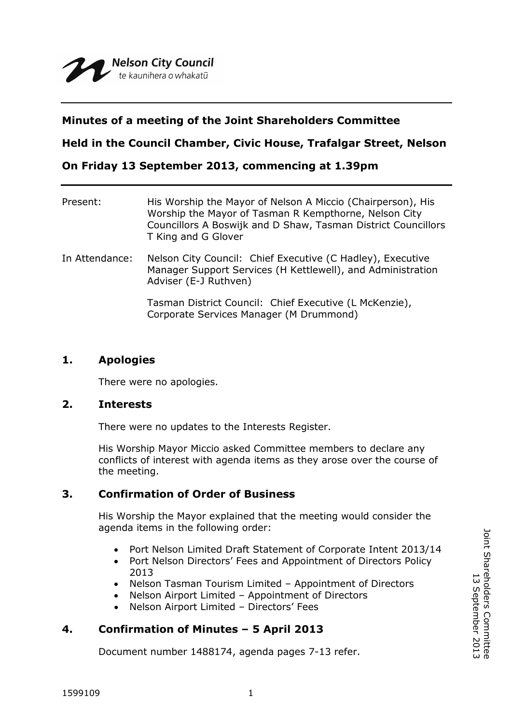## **Minutes of a meeting of the Joint Shareholders Committee**

**Held in the Council Chamber, Civic House, Trafalgar Street, Nelson**

**On Friday 13 September 2013, commencing at 1.39pm**

| Present:       | His Worship the Mayor of Nelson A Miccio (Chairperson), His<br>Worship the Mayor of Tasman R Kempthorne, Nelson City<br>Councillors A Boswijk and D Shaw, Tasman District Councillors<br>T King and G Glover |
|----------------|--------------------------------------------------------------------------------------------------------------------------------------------------------------------------------------------------------------|
| In Attendance: | Nelson City Council: Chief Executive (C Hadley), Executive<br>Manager Support Services (H Kettlewell), and Administration<br>Adviser (E-J Ruthven)                                                           |
|                | Tasman District Council: Chief Executive (L McKenzie),<br>Corporate Services Manager (M Drummond)                                                                                                            |

## **1. Apologies**

There were no apologies.

### **2. Interests**

There were no updates to the Interests Register.

His Worship Mayor Miccio asked Committee members to declare any conflicts of interest with agenda items as they arose over the course of the meeting.

# **3. Confirmation of Order of Business**

His Worship the Mayor explained that the meeting would consider the agenda items in the following order:

- Port Nelson Limited Draft Statement of Corporate Intent 2013/14
- Port Nelson Directors' Fees and Appointment of Directors Policy 2013
- Nelson Tasman Tourism Limited Appointment of Directors
- Nelson Airport Limited Appointment of Directors
- Nelson Airport Limited Directors' Fees

# **4. Confirmation of Minutes – 5 April 2013**

Document number 1488174, agenda pages 7-13 refer.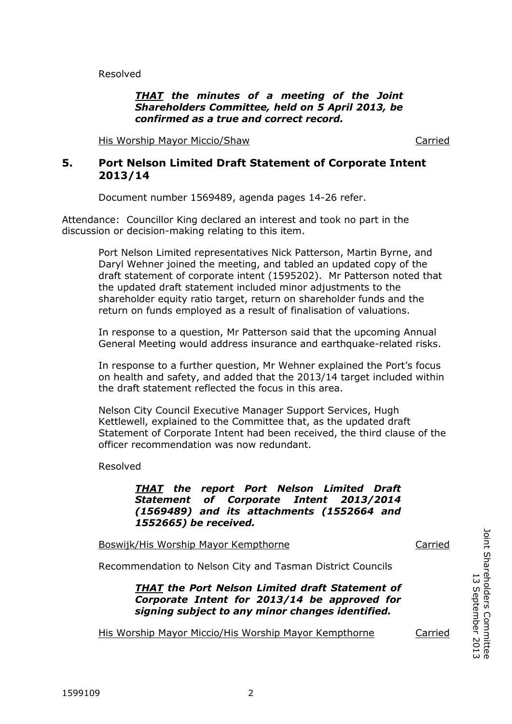Resolved

### *THAT the minutes of a meeting of the Joint Shareholders Committee, held on 5 April 2013, be confirmed as a true and correct record.*

His Worship Mayor Miccio/Shaw Carried

## **5. Port Nelson Limited Draft Statement of Corporate Intent 2013/14**

Document number 1569489, agenda pages 14-26 refer.

Attendance: Councillor King declared an interest and took no part in the discussion or decision-making relating to this item.

> Port Nelson Limited representatives Nick Patterson, Martin Byrne, and Daryl Wehner joined the meeting, and tabled an updated copy of the draft statement of corporate intent (1595202). Mr Patterson noted that the updated draft statement included minor adjustments to the shareholder equity ratio target, return on shareholder funds and the return on funds employed as a result of finalisation of valuations.

> In response to a question, Mr Patterson said that the upcoming Annual General Meeting would address insurance and earthquake-related risks.

In response to a further question, Mr Wehner explained the Port's focus on health and safety, and added that the 2013/14 target included within the draft statement reflected the focus in this area.

Nelson City Council Executive Manager Support Services, Hugh Kettlewell, explained to the Committee that, as the updated draft Statement of Corporate Intent had been received, the third clause of the officer recommendation was now redundant.

Resolved

*THAT the report Port Nelson Limited Draft Statement of Corporate Intent 2013/2014 (1569489) and its attachments (1552664 and 1552665) be received.*

Boswijk/His Worship Mayor Kempthorne Carried

Recommendation to Nelson City and Tasman District Councils

*THAT the Port Nelson Limited draft Statement of Corporate Intent for 2013/14 be approved for signing subject to any minor changes identified.*

His Worship Mayor Miccio/His Worship Mayor Kempthorne Carried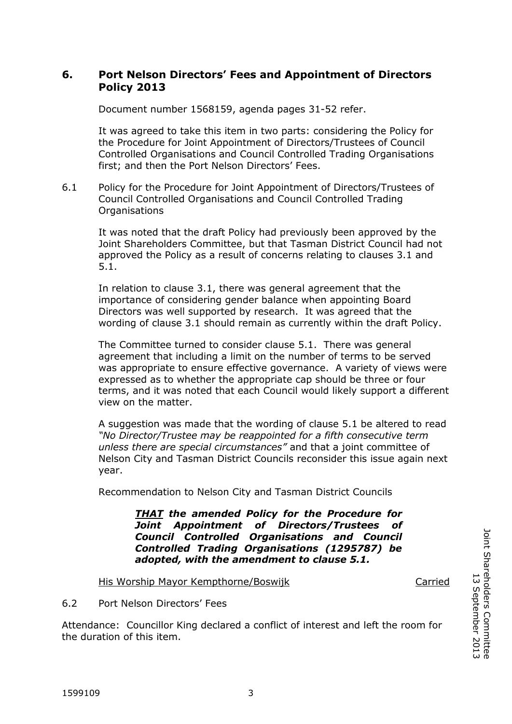## **6. Port Nelson Directors' Fees and Appointment of Directors Policy 2013**

Document number 1568159, agenda pages 31-52 refer.

It was agreed to take this item in two parts: considering the Policy for the Procedure for Joint Appointment of Directors/Trustees of Council Controlled Organisations and Council Controlled Trading Organisations first; and then the Port Nelson Directors' Fees.

6.1 Policy for the Procedure for Joint Appointment of Directors/Trustees of Council Controlled Organisations and Council Controlled Trading Organisations

It was noted that the draft Policy had previously been approved by the Joint Shareholders Committee, but that Tasman District Council had not approved the Policy as a result of concerns relating to clauses 3.1 and 5.1.

In relation to clause 3.1, there was general agreement that the importance of considering gender balance when appointing Board Directors was well supported by research. It was agreed that the wording of clause 3.1 should remain as currently within the draft Policy.

The Committee turned to consider clause 5.1. There was general agreement that including a limit on the number of terms to be served was appropriate to ensure effective governance. A variety of views were expressed as to whether the appropriate cap should be three or four terms, and it was noted that each Council would likely support a different view on the matter.

A suggestion was made that the wording of clause 5.1 be altered to read *"No Director/Trustee may be reappointed for a fifth consecutive term unless there are special circumstances"* and that a joint committee of Nelson City and Tasman District Councils reconsider this issue again next year.

Recommendation to Nelson City and Tasman District Councils

*THAT the amended Policy for the Procedure for Joint Appointment of Directors/Trustees of Council Controlled Organisations and Council Controlled Trading Organisations (1295787) be adopted, with the amendment to clause 5.1.*

His Worship Mayor Kempthorne/Boswijk Carried

6.2 Port Nelson Directors' Fees

Attendance: Councillor King declared a conflict of interest and left the room for the duration of this item.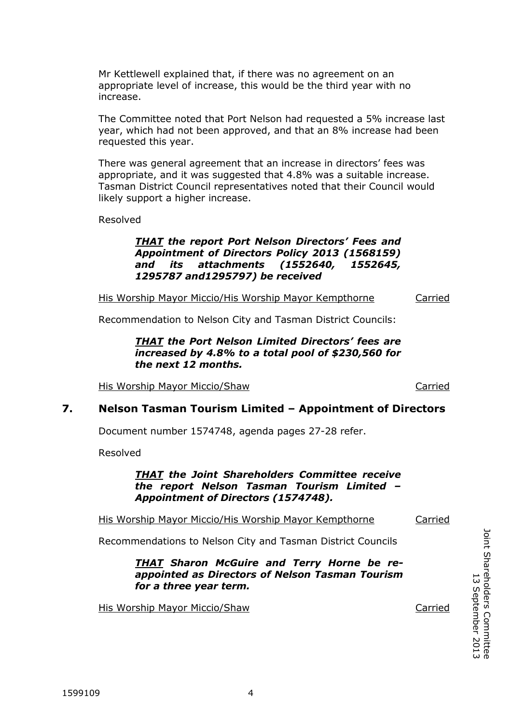Mr Kettlewell explained that, if there was no agreement on an appropriate level of increase, this would be the third year with no increase.

The Committee noted that Port Nelson had requested a 5% increase last year, which had not been approved, and that an 8% increase had been requested this year.

There was general agreement that an increase in directors' fees was appropriate, and it was suggested that 4.8% was a suitable increase. Tasman District Council representatives noted that their Council would likely support a higher increase.

Resolved

### *THAT the report Port Nelson Directors' Fees and Appointment of Directors Policy 2013 (1568159) and its attachments (1552640, 1552645, 1295787 and1295797) be received*

His Worship Mayor Miccio/His Worship Mayor Kempthorne Carried

Recommendation to Nelson City and Tasman District Councils:

#### *THAT the Port Nelson Limited Directors' fees are increased by 4.8% to a total pool of \$230,560 for the next 12 months.*

His Worship Mayor Miccio/Shaw Carried

## **7. Nelson Tasman Tourism Limited – Appointment of Directors**

Document number 1574748, agenda pages 27-28 refer.

Resolved

#### *THAT the Joint Shareholders Committee receive the report Nelson Tasman Tourism Limited – Appointment of Directors (1574748).*

His Worship Mayor Miccio/His Worship Mayor Kempthorne Carried

Recommendations to Nelson City and Tasman District Councils

*THAT Sharon McGuire and Terry Horne be reappointed as Directors of Nelson Tasman Tourism for a three year term.*

His Worship Mayor Miccio/Shaw Carried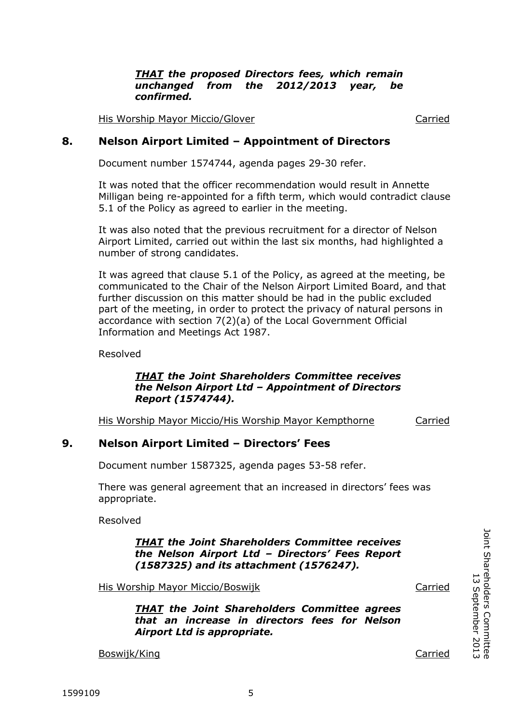*THAT the proposed Directors fees, which remain unchanged from the 2012/2013 year, be confirmed.*

His Worship Mayor Miccio/Glover Carried

### **8. Nelson Airport Limited – Appointment of Directors**

Document number 1574744, agenda pages 29-30 refer.

It was noted that the officer recommendation would result in Annette Milligan being re-appointed for a fifth term, which would contradict clause 5.1 of the Policy as agreed to earlier in the meeting.

It was also noted that the previous recruitment for a director of Nelson Airport Limited, carried out within the last six months, had highlighted a number of strong candidates.

It was agreed that clause 5.1 of the Policy, as agreed at the meeting, be communicated to the Chair of the Nelson Airport Limited Board, and that further discussion on this matter should be had in the public excluded part of the meeting, in order to protect the privacy of natural persons in accordance with section 7(2)(a) of the Local Government Official Information and Meetings Act 1987.

Resolved

#### *THAT the Joint Shareholders Committee receives the Nelson Airport Ltd – Appointment of Directors Report (1574744).*

His Worship Mayor Miccio/His Worship Mayor Kempthorne Carried

## **9. Nelson Airport Limited – Directors' Fees**

Document number 1587325, agenda pages 53-58 refer.

There was general agreement that an increased in directors' fees was appropriate.

Resolved

*THAT the Joint Shareholders Committee receives the Nelson Airport Ltd – Directors' Fees Report (1587325) and its attachment (1576247).*

His Worship Mayor Miccio/Boswijk Carried Carried

*THAT the Joint Shareholders Committee agrees that an increase in directors fees for Nelson Airport Ltd is appropriate.*

Boswijk/King Carried Carried Carried Carried Carried Carried Carried Carried Carried Carried Carried Carried Carried Carried Carried Carried Carried Carried Carried Carried Carried Carried Carried Carried Carried Carried C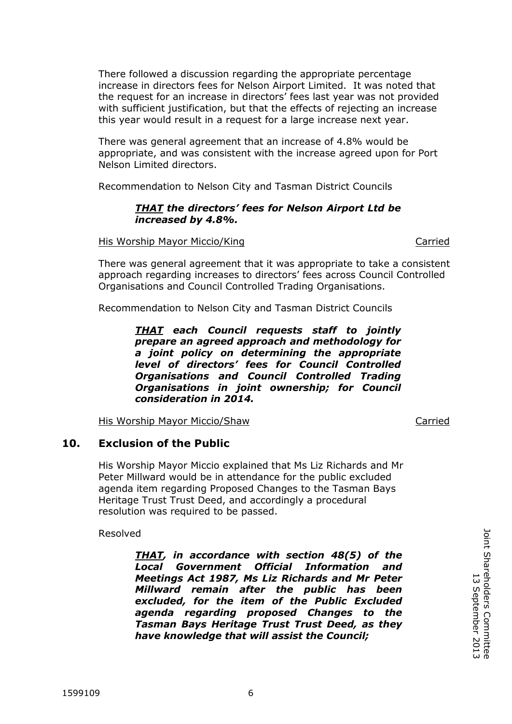There followed a discussion regarding the appropriate percentage increase in directors fees for Nelson Airport Limited. It was noted that the request for an increase in directors' fees last year was not provided with sufficient justification, but that the effects of rejecting an increase this year would result in a request for a large increase next year.

There was general agreement that an increase of 4.8% would be appropriate, and was consistent with the increase agreed upon for Port Nelson Limited directors.

Recommendation to Nelson City and Tasman District Councils

### *THAT the directors' fees for Nelson Airport Ltd be increased by 4.8%.*

His Worship Mayor Miccio/King Carried Carried

There was general agreement that it was appropriate to take a consistent approach regarding increases to directors' fees across Council Controlled Organisations and Council Controlled Trading Organisations.

Recommendation to Nelson City and Tasman District Councils

*THAT each Council requests staff to jointly prepare an agreed approach and methodology for a joint policy on determining the appropriate level of directors' fees for Council Controlled Organisations and Council Controlled Trading Organisations in joint ownership; for Council consideration in 2014.* 

His Worship Mayor Miccio/Shaw Carried

# **10. Exclusion of the Public**

His Worship Mayor Miccio explained that Ms Liz Richards and Mr Peter Millward would be in attendance for the public excluded agenda item regarding Proposed Changes to the Tasman Bays Heritage Trust Trust Deed, and accordingly a procedural resolution was required to be passed.

Resolved

*THAT, in accordance with section 48(5) of the Local Government Official Information and Meetings Act 1987, Ms Liz Richards and Mr Peter Millward remain after the public has been excluded, for the item of the Public Excluded agenda regarding proposed Changes to the Tasman Bays Heritage Trust Trust Deed, as they have knowledge that will assist the Council;*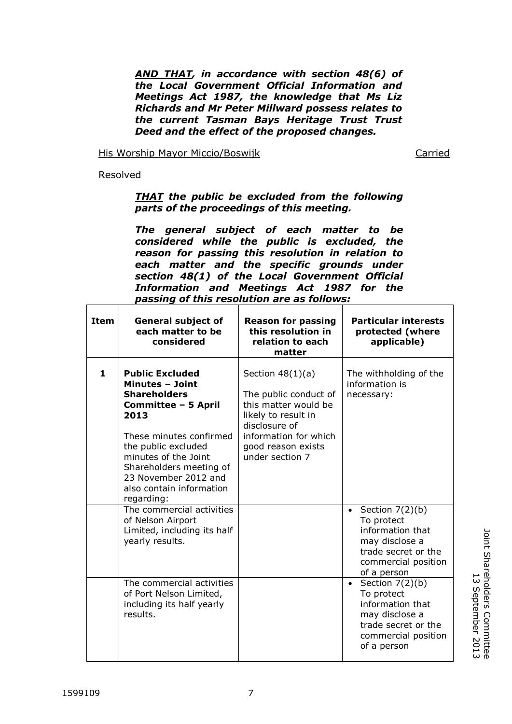*AND THAT, in accordance with section 48(6) of the Local Government Official Information and Meetings Act 1987, the knowledge that Ms Liz Richards and Mr Peter Millward possess relates to the current Tasman Bays Heritage Trust Trust Deed and the effect of the proposed changes.*

His Worship Mayor Miccio/Boswijk Carried

Resolved

#### *THAT the public be excluded from the following parts of the proceedings of this meeting.*

*The general subject of each matter to be considered while the public is excluded, the reason for passing this resolution in relation to each matter and the specific grounds under section 48(1) of the Local Government Official Information and Meetings Act 1987 for the passing of this resolution are as follows:*

| <b>Item</b> | <b>General subject of</b><br>each matter to be<br>considered                                                                                                                                                                                                                  | <b>Reason for passing</b><br>this resolution in<br>relation to each<br>matter                                                                                                 | <b>Particular interests</b><br>protected (where<br>applicable)                                                                                  |
|-------------|-------------------------------------------------------------------------------------------------------------------------------------------------------------------------------------------------------------------------------------------------------------------------------|-------------------------------------------------------------------------------------------------------------------------------------------------------------------------------|-------------------------------------------------------------------------------------------------------------------------------------------------|
| 1           | <b>Public Excluded</b><br><b>Minutes - Joint</b><br><b>Shareholders</b><br>Committee - 5 April<br>2013<br>These minutes confirmed<br>the public excluded<br>minutes of the Joint<br>Shareholders meeting of<br>23 November 2012 and<br>also contain information<br>regarding: | Section $48(1)(a)$<br>The public conduct of<br>this matter would be<br>likely to result in<br>disclosure of<br>information for which<br>good reason exists<br>under section 7 | The withholding of the<br>information is<br>necessary:                                                                                          |
|             | The commercial activities<br>of Nelson Airport<br>Limited, including its half<br>yearly results.                                                                                                                                                                              |                                                                                                                                                                               | Section $7(2)(b)$<br>$\bullet$<br>To protect<br>information that<br>may disclose a<br>trade secret or the<br>commercial position<br>of a person |
|             | The commercial activities<br>of Port Nelson Limited,<br>including its half yearly<br>results.                                                                                                                                                                                 |                                                                                                                                                                               | Section $7(2)(b)$<br>$\bullet$<br>To protect<br>information that<br>may disclose a<br>trade secret or the<br>commercial position<br>of a person |

Joint Shareholders Committee<br>13 September 2013 Joint Shareholders Committee 13 September 2013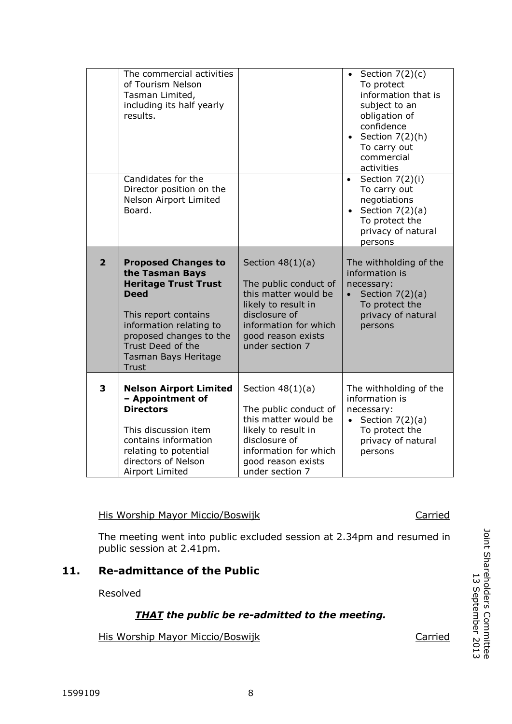|                                                                                                                                                           |                | including its half yearly<br>results.<br>Candidates for the<br>Director position on the<br>Nelson Airport Limited<br>Board.                                                                                                            |                                                                                                                                                                               | subject to an<br>obligation of<br>confidence<br>Section $7(2)(h)$<br>$\bullet$<br>To carry out<br>commercial<br>activities<br>Section 7(2)(i)<br>To carry out<br>negotiations<br>Section $7(2)(a)$<br>To protect the<br>privacy of natural |  |  |  |
|-----------------------------------------------------------------------------------------------------------------------------------------------------------|----------------|----------------------------------------------------------------------------------------------------------------------------------------------------------------------------------------------------------------------------------------|-------------------------------------------------------------------------------------------------------------------------------------------------------------------------------|--------------------------------------------------------------------------------------------------------------------------------------------------------------------------------------------------------------------------------------------|--|--|--|
|                                                                                                                                                           | $\overline{2}$ | <b>Proposed Changes to</b><br>the Tasman Bays<br><b>Heritage Trust Trust</b><br><b>Deed</b><br>This report contains<br>information relating to<br>proposed changes to the<br>Trust Deed of the<br>Tasman Bays Heritage<br><b>Trust</b> | Section $48(1)(a)$<br>The public conduct of<br>this matter would be<br>likely to result in<br>disclosure of<br>information for which<br>good reason exists<br>under section 7 | persons<br>The withholding of the<br>information is<br>necessary:<br>Section $7(2)(a)$<br>To protect the<br>privacy of natural<br>persons                                                                                                  |  |  |  |
|                                                                                                                                                           | 3              | <b>Nelson Airport Limited</b><br>- Appointment of<br><b>Directors</b><br>This discussion item<br>contains information<br>relating to potential<br>directors of Nelson<br>Airport Limited                                               | Section $48(1)(a)$<br>The public conduct of<br>this matter would be<br>likely to result in<br>disclosure of<br>information for which<br>good reason exists<br>under section 7 | The withholding of the<br>information is<br>necessary:<br>Section $7(2)(a)$<br>To protect the<br>privacy of natural<br>persons                                                                                                             |  |  |  |
| <b>His Worship Mayor Miccio/Boswijk</b><br>Carried<br>The meeting went into public excluded session at 2.34pm and resumed in<br>public session at 2.41pm. |                |                                                                                                                                                                                                                                        |                                                                                                                                                                               |                                                                                                                                                                                                                                            |  |  |  |
|                                                                                                                                                           |                |                                                                                                                                                                                                                                        |                                                                                                                                                                               |                                                                                                                                                                                                                                            |  |  |  |

# **11. Re-admittance of the Public**

Resolved

# *THAT the public be re-admitted to the meeting.*

His Worship Mayor Miccio/Boswijk Carried

The commercial activities

of Tourism Nelson Tasman Limited,

• Section  $7(2)(c)$ To protect

information that is subject to an